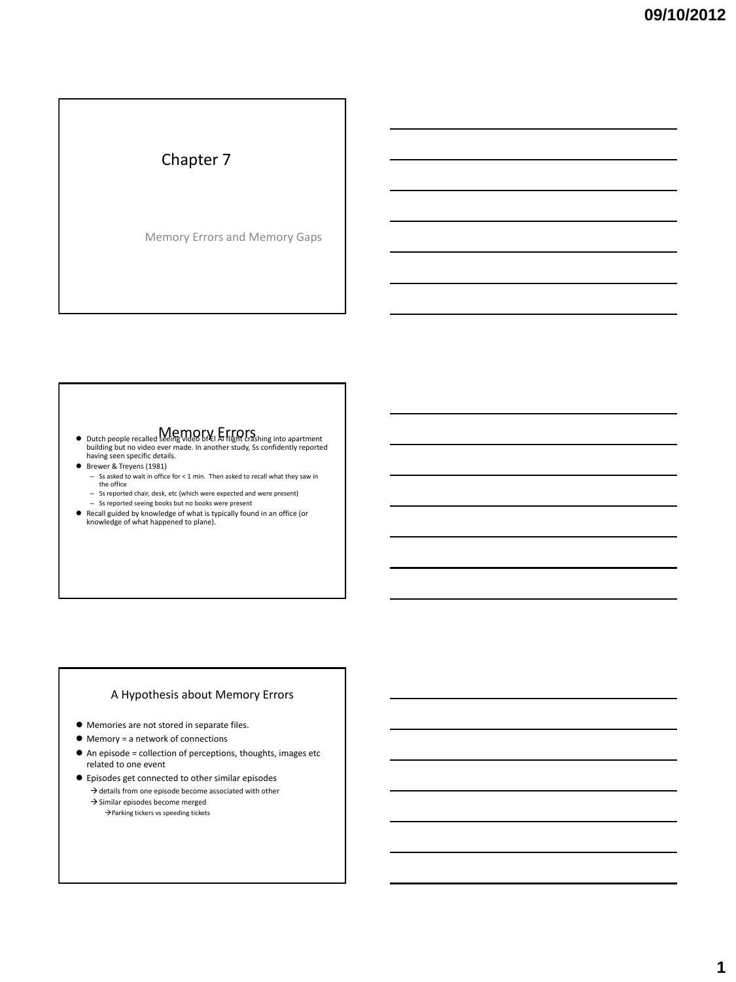# Chapter 7

Memory Errors and Memory Gaps

#### Memory Errors Dutch people recalled seeing video of El Al flight crashing into apartment building but no video ever made. In another study, Ss confidently reported having seen specific details.

Brewer & Treyens (1981)

- Ss asked to wait in office for < 1 min. Then asked to recall what they saw in the office
- Ss reported chair, desk, etc (which were expected and were present)
- Ss reported seeing books but no books were present
- Recall guided by knowledge of what is typically found in an office (or knowledge of what happened to plane).

#### A Hypothesis about Memory Errors

- Memories are not stored in separate files.
- Memory = a network of connections
- An episode = collection of perceptions, thoughts, images etc related to one event
- Episodes get connected to other similar episodes  $\rightarrow$  details from one episode become associated with other
	- $\rightarrow$  Similar episodes become merged →Parking tickers vs speeding tickets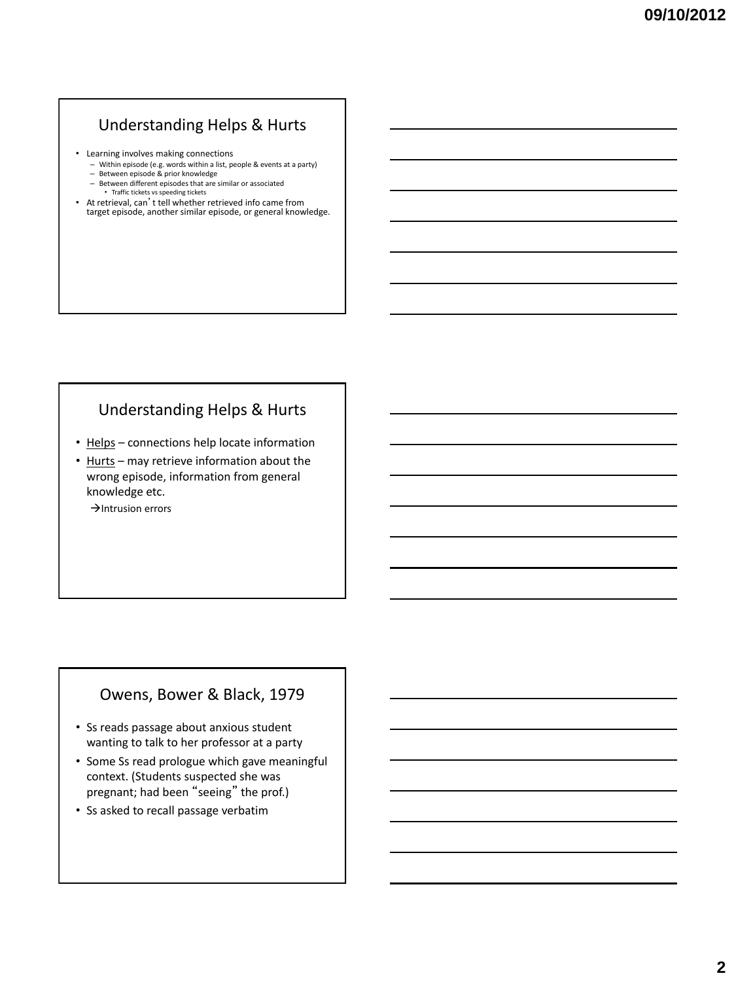#### Understanding Helps & Hurts

- Learning involves making connections
	- Within episode (e.g. words within a list, people & events at a party)
	- Between episode & prior knowledge
	- Between different episodes that are similar or associated • Traffic tickets vs speeding tickets
- At retrieval, can't tell whether retrieved info came from target episode, another similar episode, or general knowledge.

#### Understanding Helps & Hurts

- Helps connections help locate information
- Hurts may retrieve information about the wrong episode, information from general knowledge etc.
	- $\rightarrow$ Intrusion errors

#### Owens, Bower & Black, 1979

- Ss reads passage about anxious student wanting to talk to her professor at a party
- Some Ss read prologue which gave meaningful context. (Students suspected she was pregnant; had been "seeing" the prof.)
- Ss asked to recall passage verbatim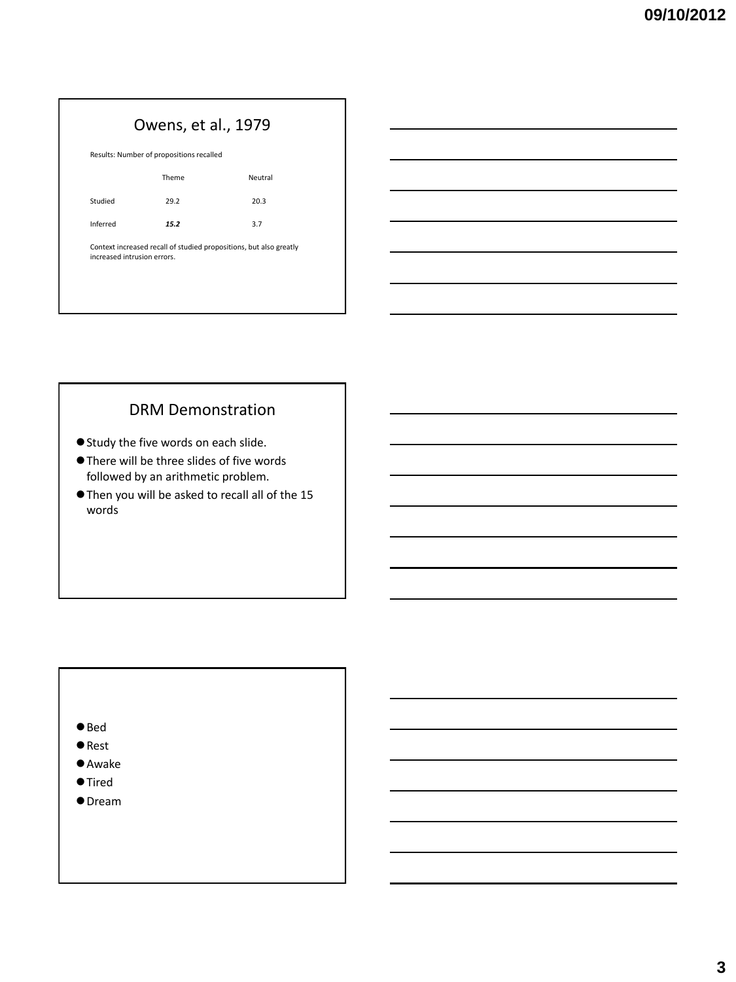# Owens, et al., 1979

| Results: Number of propositions recalled |       |         |
|------------------------------------------|-------|---------|
|                                          | Theme | Neutral |
| Studied                                  | 29.2  | 20.3    |
| Inferred                                 | 15.2  | 3.7     |

Context increased recall of studied propositions, but also greatly increased intrusion errors.

#### DRM Demonstration

- Study the five words on each slide.
- There will be three slides of five words followed by an arithmetic problem.
- Then you will be asked to recall all of the 15 words

#### ● Bed

- Rest
- Awake
- Tired
- Dream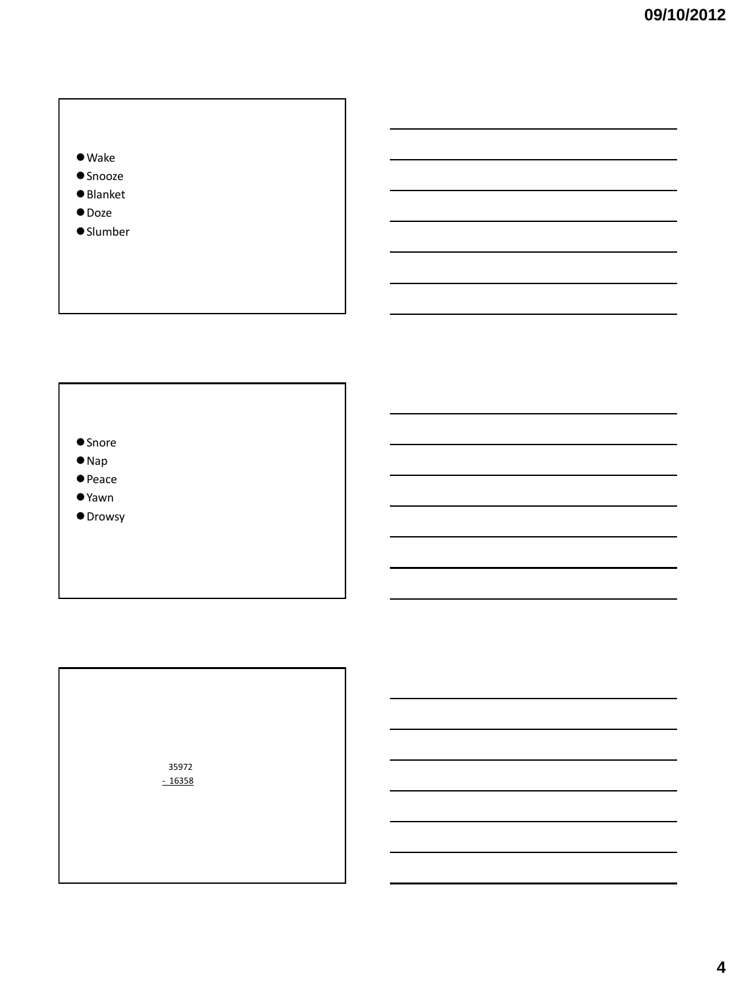



- $\bullet$  Nap
- Peace
- Yawn
- **O** Drowsy

 35972 - 16358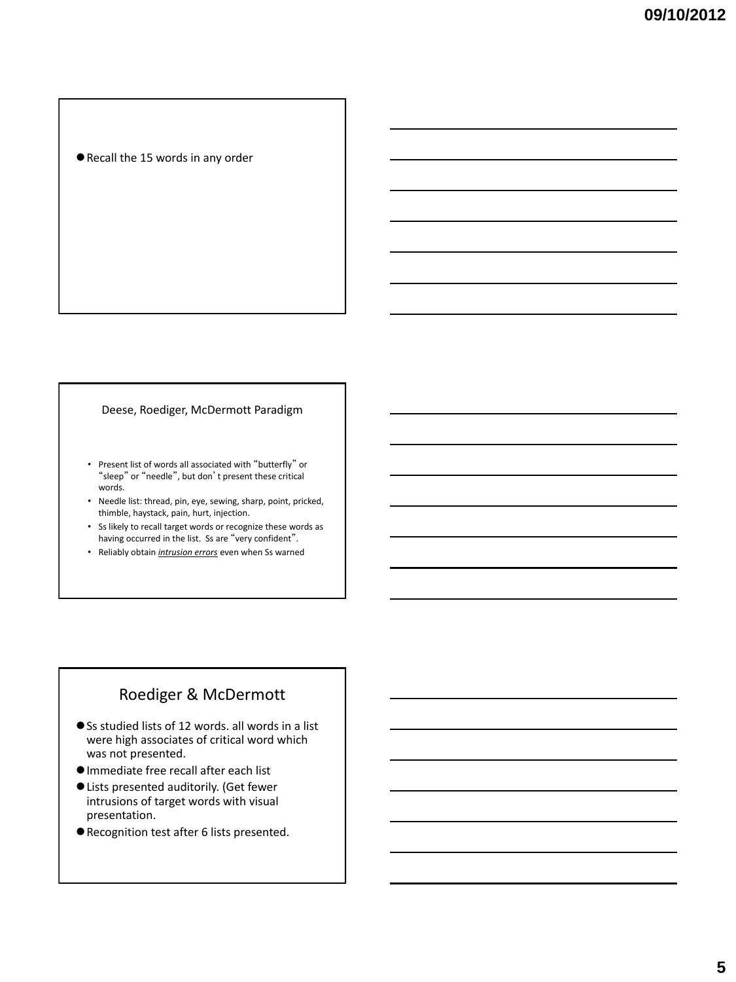#### Recall the 15 words in any order

#### Deese, Roediger, McDermott Paradigm

- Present list of words all associated with "butterfly" or "sleep" or "needle", but don't present these critical words.
- Needle list: thread, pin, eye, sewing, sharp, point, pricked, thimble, haystack, pain, hurt, injection.
- Ss likely to recall target words or recognize these words as having occurred in the list. Ss are "very confident".
- Reliably obtain *intrusion errors* even when Ss warned

#### Roediger & McDermott

- Ss studied lists of 12 words. all words in a list were high associates of critical word which was not presented.
- Immediate free recall after each list
- Lists presented auditorily. (Get fewer intrusions of target words with visual presentation.
- Recognition test after 6 lists presented.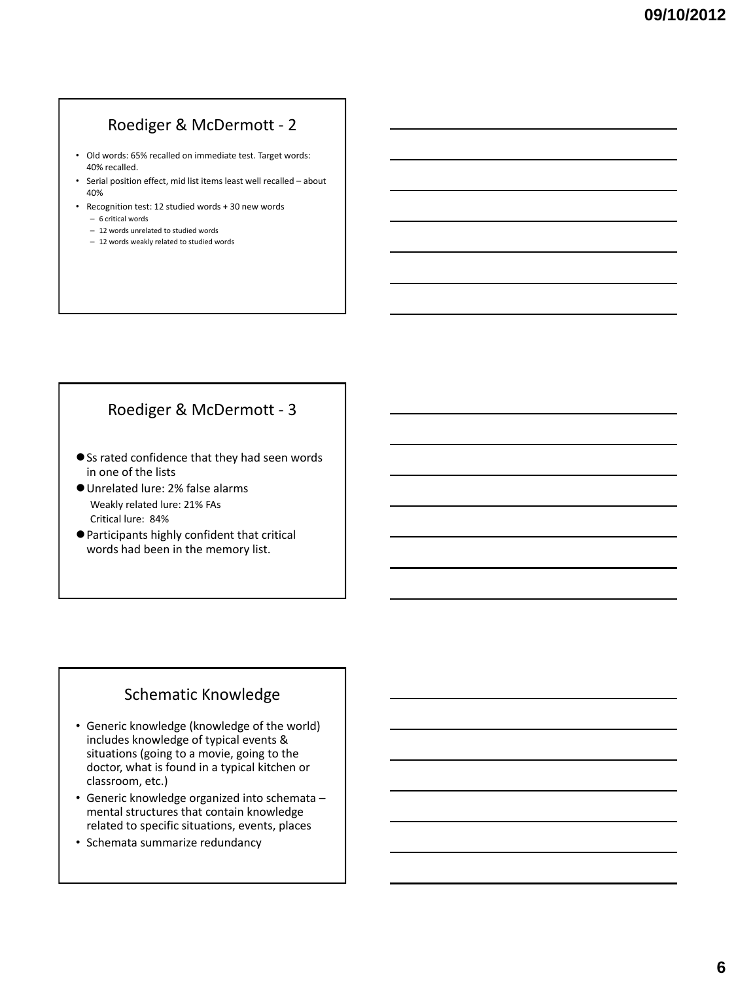# Roediger & McDermott - 2

- Old words: 65% recalled on immediate test. Target words: 40% recalled.
- Serial position effect, mid list items least well recalled about 40%
- Recognition test: 12 studied words + 30 new words
	- 6 critical words
	- 12 words unrelated to studied words
	- 12 words weakly related to studied words

#### Roediger & McDermott - 3

- Ss rated confidence that they had seen words in one of the lists
- Unrelated lure: 2% false alarms Weakly related lure: 21% FAs Critical lure: 84%
- Participants highly confident that critical words had been in the memory list.

#### Schematic Knowledge

- Generic knowledge (knowledge of the world) includes knowledge of typical events & situations (going to a movie, going to the doctor, what is found in a typical kitchen or classroom, etc.)
- Generic knowledge organized into schemata mental structures that contain knowledge related to specific situations, events, places
- Schemata summarize redundancy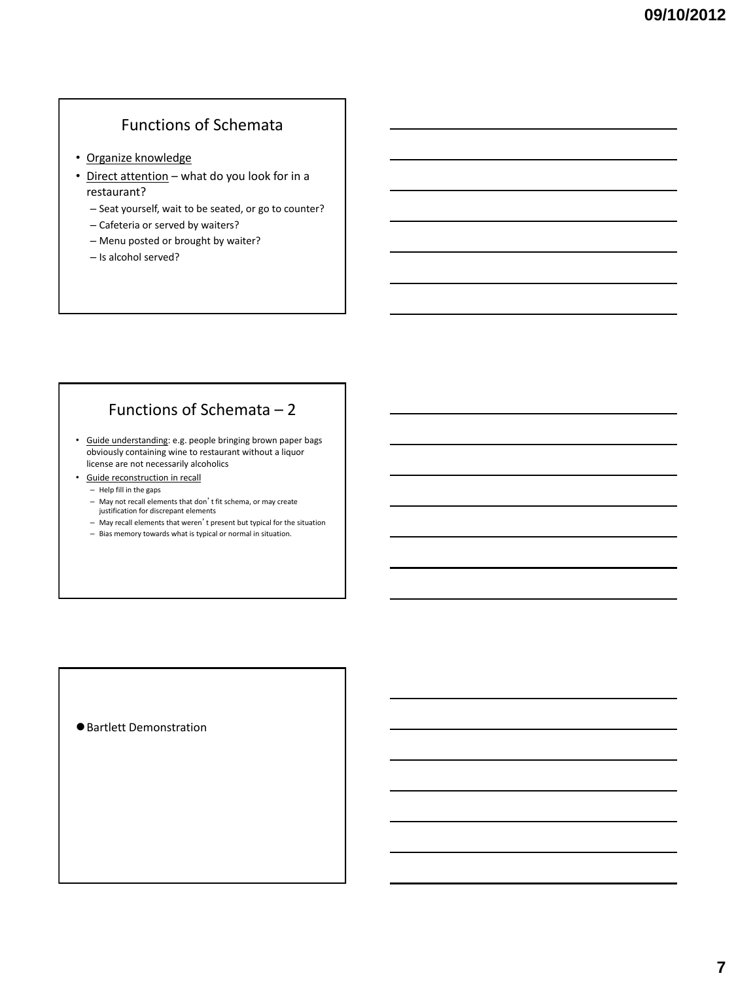# Functions of Schemata

- Organize knowledge
- Direct attention what do you look for in a restaurant?
	- Seat yourself, wait to be seated, or go to counter?
	- Cafeteria or served by waiters?
	- Menu posted or brought by waiter?
	- Is alcohol served?

# Functions of Schemata – 2

• Guide understanding: e.g. people bringing brown paper bags obviously containing wine to restaurant without a liquor license are not necessarily alcoholics

- Guide reconstruction in recall
	- Help fill in the gaps
	- May not recall elements that don't fit schema, or may create justification for discrepant elements
	- May recall elements that weren't present but typical for the situation
	- Bias memory towards what is typical or normal in situation.

Bartlett Demonstration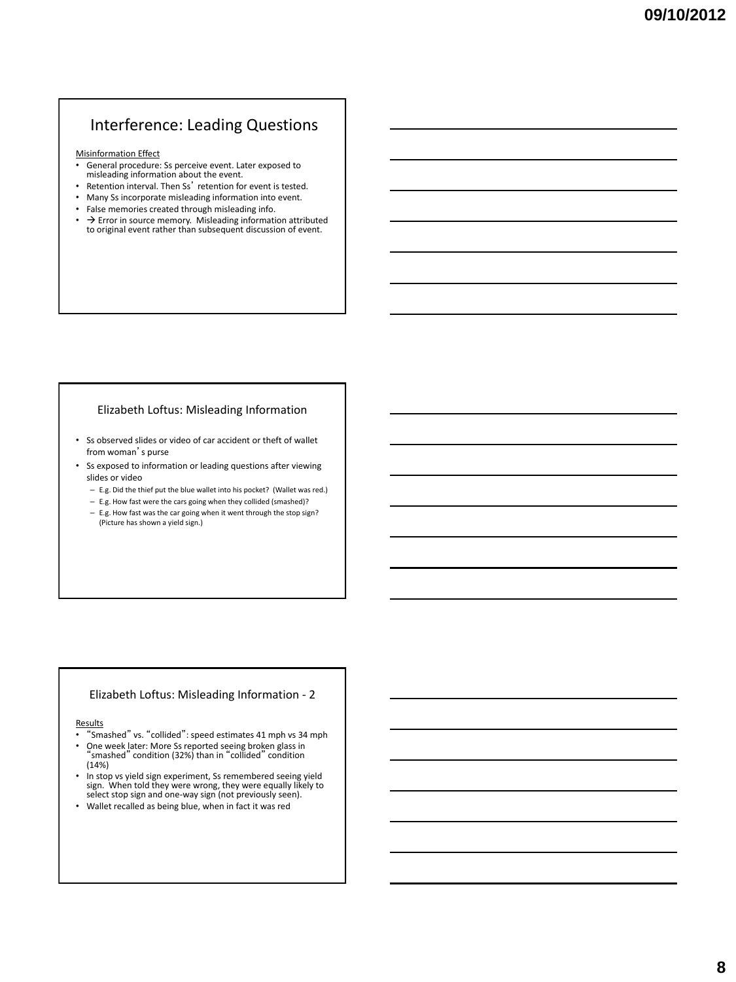#### Interference: Leading Questions

Misinformation Effect

- General procedure: Ss perceive event. Later exposed to misleading information about the event.
- Retention interval. Then Ss' retention for event is tested.
- Many Ss incorporate misleading information into event.
- False memories created through misleading info.
- $\rightarrow$  Error in source memory. Misleading information attributed to original event rather than subsequent discussion of event.

#### Elizabeth Loftus: Misleading Information

• Ss observed slides or video of car accident or theft of wallet from woman's purse

- Ss exposed to information or leading questions after viewing slides or video
	- E.g. Did the thief put the blue wallet into his pocket? (Wallet was red.)
	- E.g. How fast were the cars going when they collided (smashed)?
	- E.g. How fast was the car going when it went through the stop sign? (Picture has shown a yield sign.)

#### Elizabeth Loftus: Misleading Information - 2

#### **Results**

- "Smashed" vs. "collided": speed estimates 41 mph vs 34 mph
- One week later: More Ss reported seeing broken glass in "smashed" condition (32%) than in "collided" condition (14%)
- In stop vs yield sign experiment, Ss remembered seeing yield sign. When told they were wrong, they were equally likely to select stop sign and one-way sign (not previously seen).
- Wallet recalled as being blue, when in fact it was red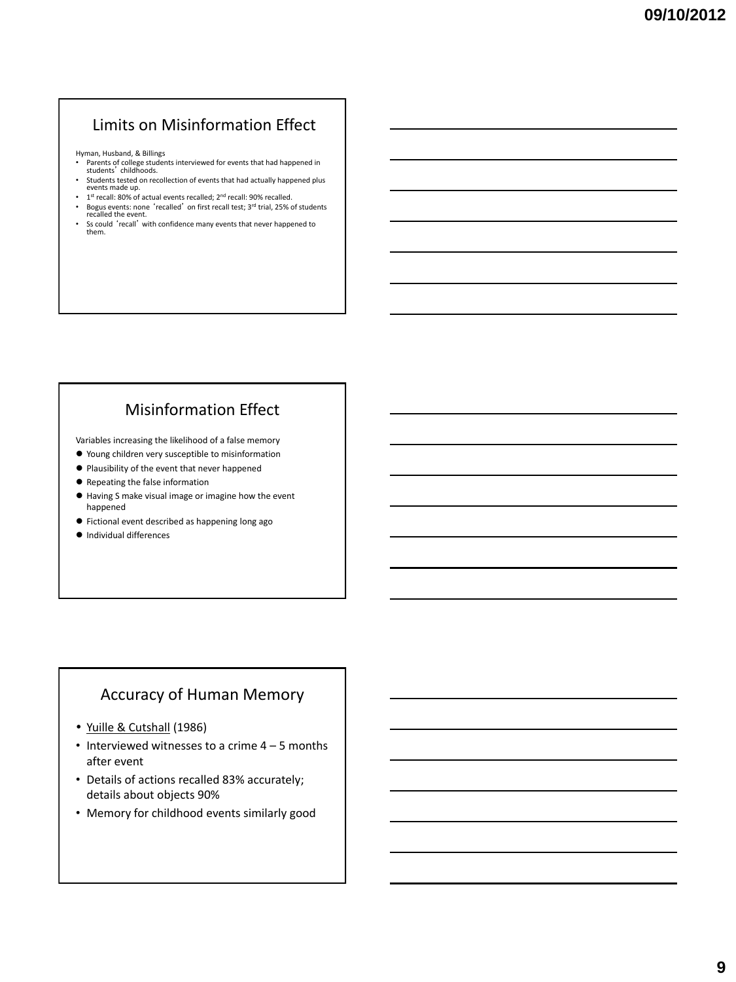# Limits on Misinformation Effect

Hyman, Husband, & Billings

- Parents of college students interviewed for events that had happened in students' childhoods. • Students tested on recollection of events that had actually happened plus
- events made up.
- 1<sup>st</sup> recall: 80% of actual events recalled; 2<sup>nd</sup> recall: 90% recalled. • Bogus events: none 'recalled' on first recall test; 3<sup>rd</sup> trial, 25% of students recalled the event.
- Ss could 'recall' with confidence many events that never happened to them.

# Misinformation Effect

Variables increasing the likelihood of a false memory

- Young children very susceptible to misinformation
- Plausibility of the event that never happened
- Repeating the false information
- Having S make visual image or imagine how the event happened
- Fictional event described as happening long ago
- $\bullet$  Individual differences

#### Accuracy of Human Memory

- Yuille & Cutshall (1986)
- Interviewed witnesses to a crime 4 5 months after event
- Details of actions recalled 83% accurately; details about objects 90%
- Memory for childhood events similarly good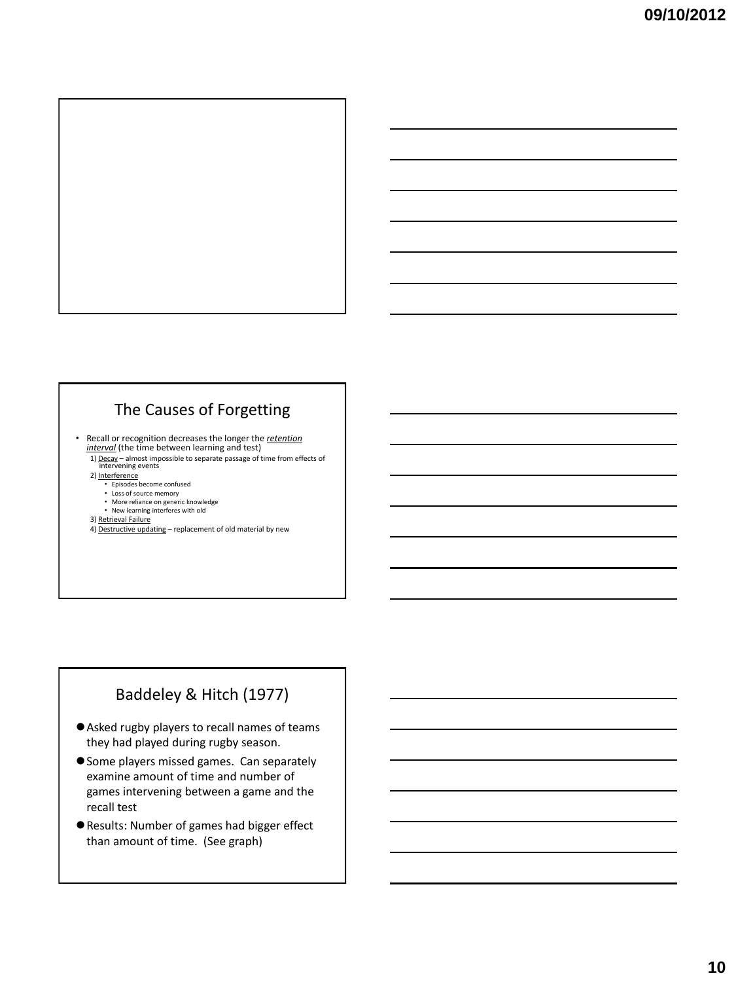

#### The Causes of Forgetting

• Recall or recognition decreases the longer the *retention interval* (the time between learning and test)

- 1) Decay almost impossible to separate passage of time from effects of intervening events 2) Interference
- - Episodes become confused
	- Loss of source memory More reliance on generic knowledge
- New learning interferes with old

3) Retrieval Failure

4) Destructive updating – replacement of old material by new

## Baddeley & Hitch (1977)

- Asked rugby players to recall names of teams they had played during rugby season.
- **Some players missed games. Can separately** examine amount of time and number of games intervening between a game and the recall test
- Results: Number of games had bigger effect than amount of time. (See graph)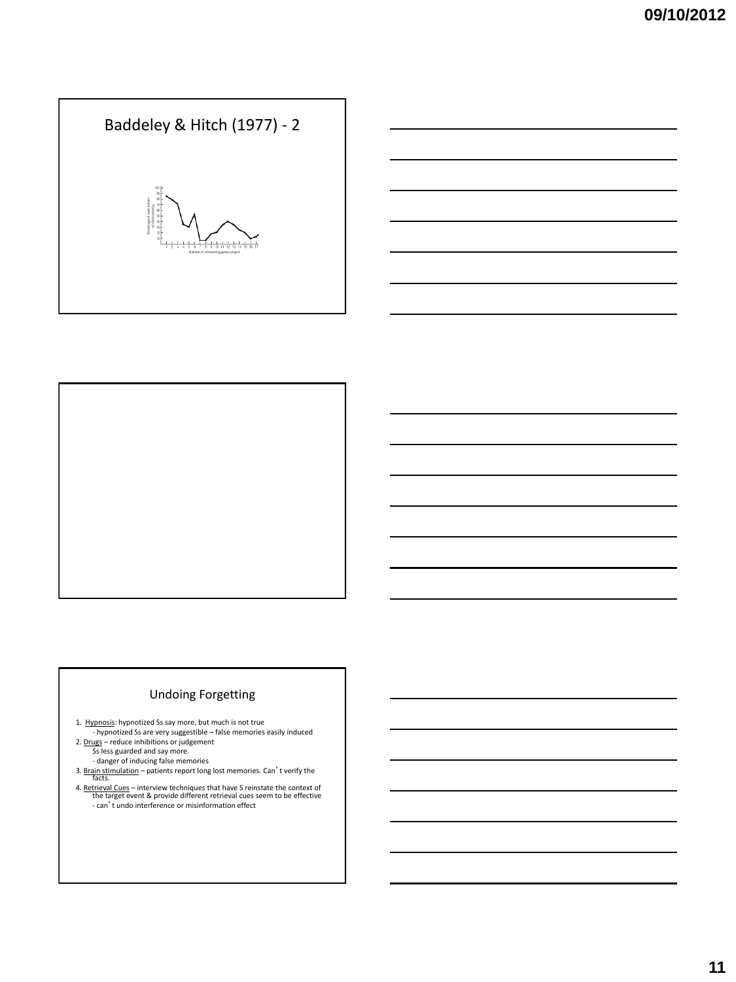# Baddeley & Hitch (1977) - 2  $\frac{1}{10}$  11 12 13 14 1

#### Undoing Forgetting

1. Hypnosis: hypnotized Ss say more, but much is not true - hypnotized Ss are very suggestible – false memories easily induced

- 2. Drugs reduce inhibitions or judgement Ss less guarded and say more.
	- danger of inducing false memories

3. Brain stimulation – patients report long lost memories. Can't verify the facts.

4. Retrieval Cues – interview techniques that have S reinstate the context of the target event & provide different retrieval cues seem to be effective - can't undo interference or misinformation effect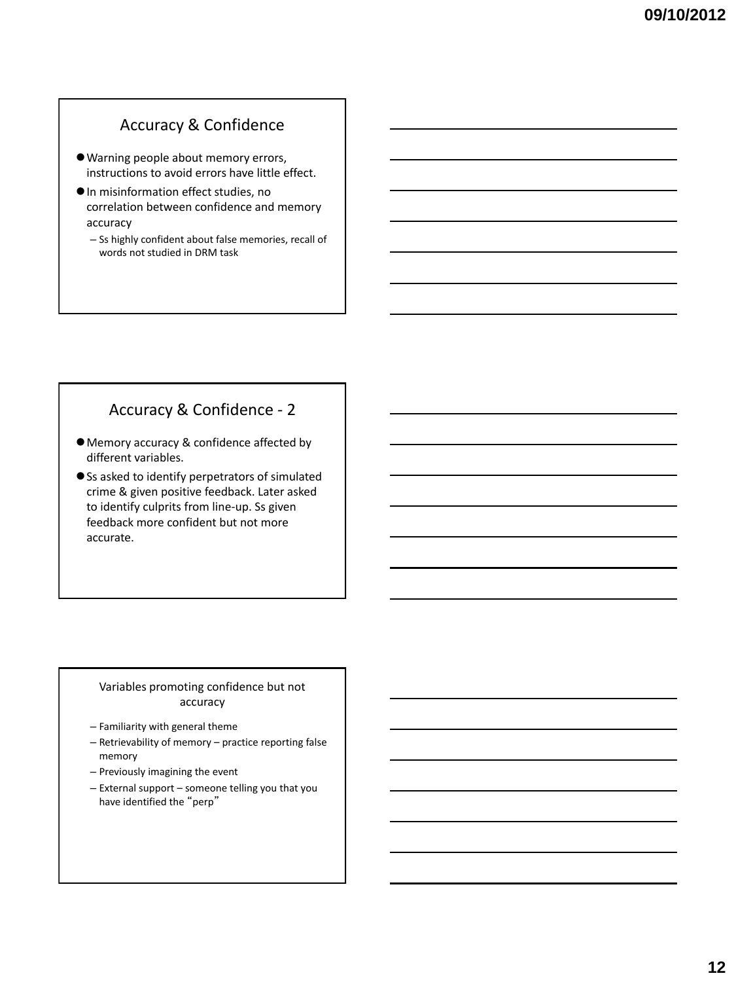#### Accuracy & Confidence

- Warning people about memory errors, instructions to avoid errors have little effect.
- $\bullet$  In misinformation effect studies, no correlation between confidence and memory accuracy
	- Ss highly confident about false memories, recall of words not studied in DRM task

# Accuracy & Confidence - 2

- Memory accuracy & confidence affected by different variables.
- Ss asked to identify perpetrators of simulated crime & given positive feedback. Later asked to identify culprits from line-up. Ss given feedback more confident but not more accurate.

#### Variables promoting confidence but not accuracy

- Familiarity with general theme
- Retrievability of memory practice reporting false memory
- Previously imagining the event
- External support someone telling you that you have identified the "perp"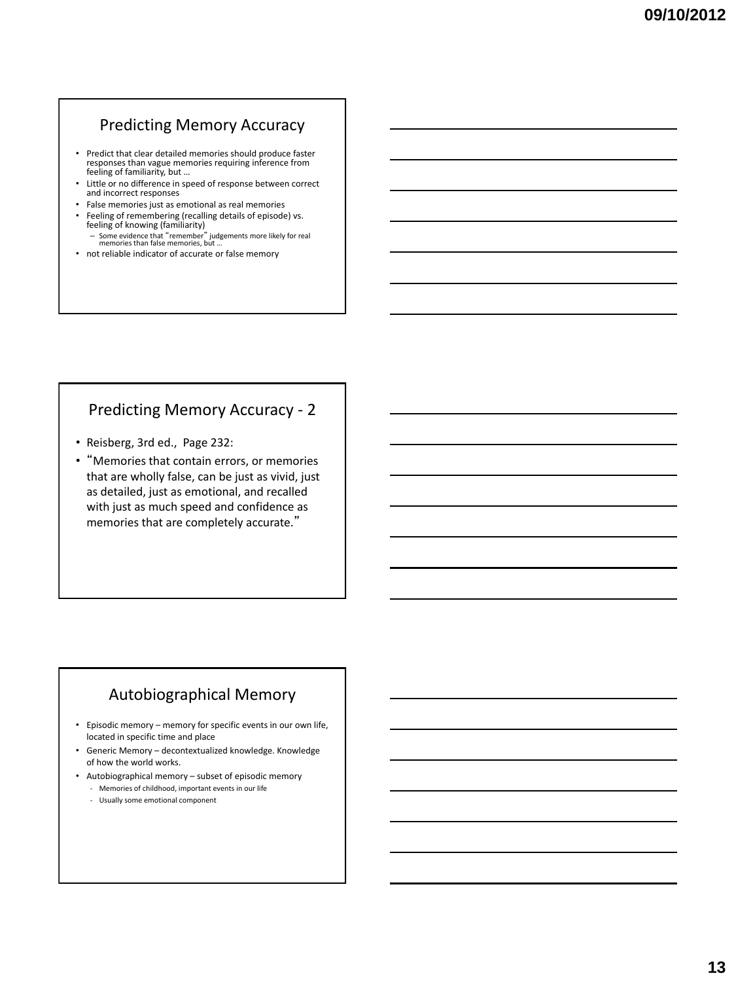#### Predicting Memory Accuracy

- Predict that clear detailed memories should produce faster responses than vague memories requiring inference from feeling of familiarity, but …
- Little or no difference in speed of response between correct and incorrect responses
- False memories just as emotional as real memories
- Feeling of remembering (recalling details of episode) vs. feeling of knowing (familiarity)
	- Some evidence that "remember" judgements more likely for real memories than false memories, but …
- not reliable indicator of accurate or false memory

#### Predicting Memory Accuracy - 2

- Reisberg, 3rd ed., Page 232:
- "Memories that contain errors, or memories that are wholly false, can be just as vivid, just as detailed, just as emotional, and recalled with just as much speed and confidence as memories that are completely accurate."

#### Autobiographical Memory

- Episodic memory memory for specific events in our own life, located in specific time and place
- Generic Memory decontextualized knowledge. Knowledge of how the world works.
- Autobiographical memory subset of episodic memory - Memories of childhood, important events in our life
	- Usually some emotional component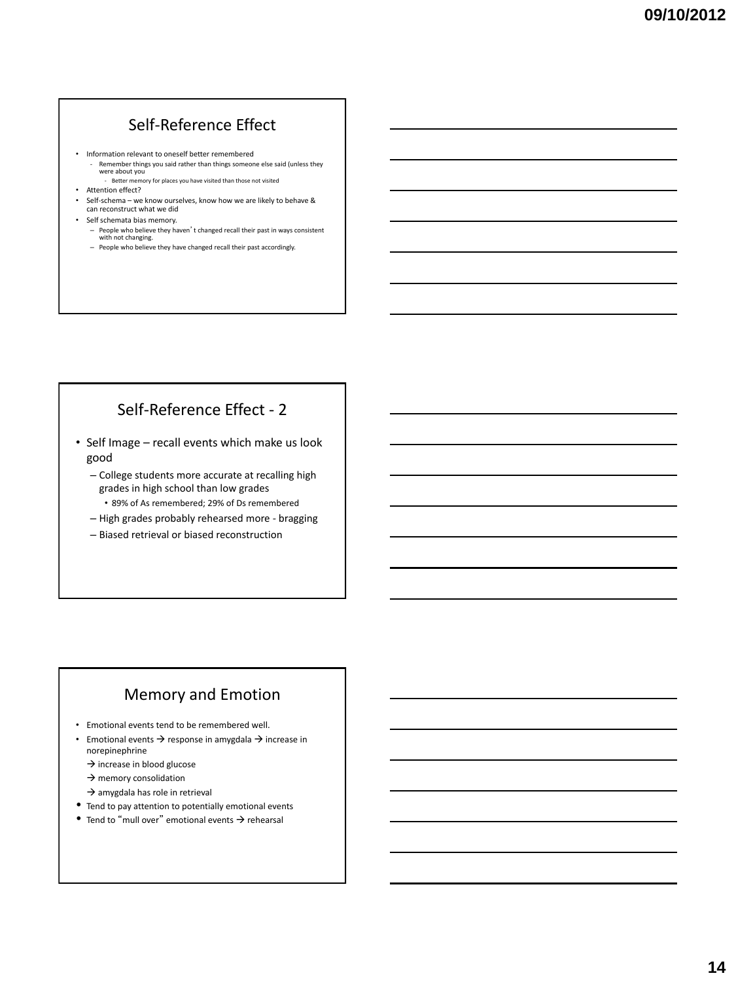# Self-Reference Effect

- Information relevant to oneself better remembered
	- Remember things you said rather than things someone else said (unless they were about you - Better memory for places you have visited than those not visited
- Attention effect?
- Self-schema we know ourselves, know how we are likely to behave & can reconstruct what we did
- Self schemata bias memory.
	- People who believe they haven't changed recall their past in ways consistent with not changing.
	- People who believe they have changed recall their past accordingly.

# Self-Reference Effect - 2

- Self Image recall events which make us look good
	- College students more accurate at recalling high grades in high school than low grades • 89% of As remembered; 29% of Ds remembered
	- High grades probably rehearsed more bragging
	- Biased retrieval or biased reconstruction

# Memory and Emotion

- Emotional events tend to be remembered well.
- Emotional events  $\rightarrow$  response in amygdala  $\rightarrow$  increase in norepinephrine
	- $\rightarrow$  increase in blood glucose
	- $\rightarrow$  memory consolidation
	- $\rightarrow$  amygdala has role in retrieval
- Tend to pay attention to potentially emotional events
- $\bullet$  Tend to "mull over" emotional events  $\rightarrow$  rehearsal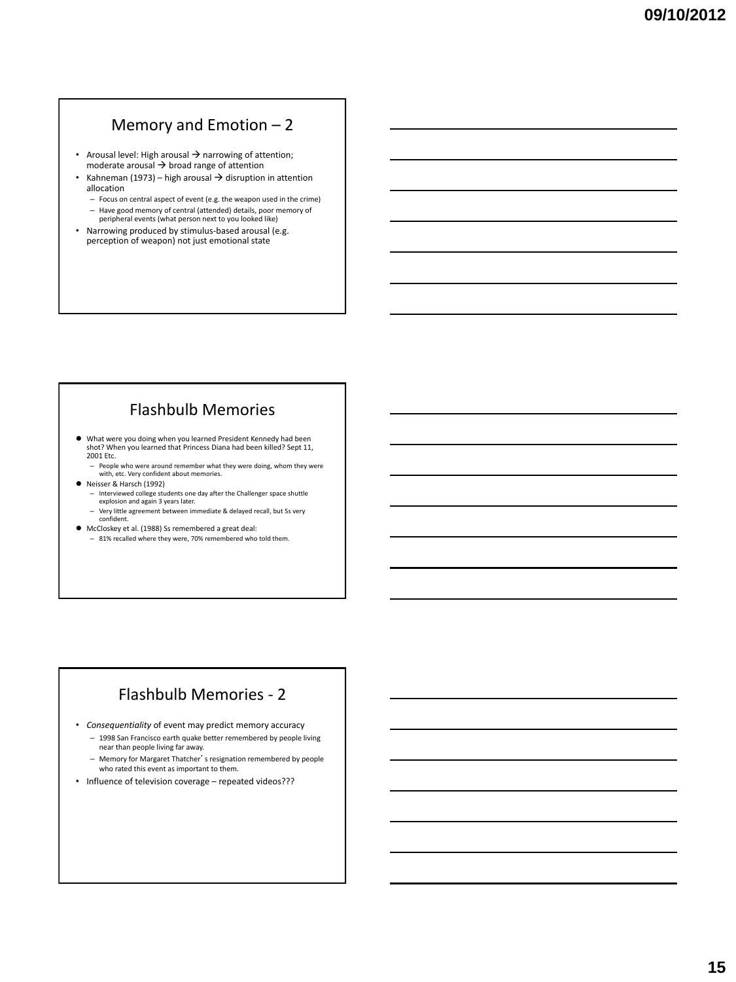#### Memory and Emotion – 2

- Arousal level: High arousal  $\rightarrow$  narrowing of attention; moderate arousal  $\rightarrow$  broad range of attention
- Kahneman (1973) high arousal  $\rightarrow$  disruption in attention allocation
	- Focus on central aspect of event (e.g. the weapon used in the crime) – Have good memory of central (attended) details, poor memory of peripheral events (what person next to you looked like)
- Narrowing produced by stimulus-based arousal (e.g. perception of weapon) not just emotional state

# Flashbulb Memories

- What were you doing when you learned President Kennedy had been shot? When you learned that Princess Diana had been killed? Sept 11, 2001 Etc.
	- People who were around remember what they were doing, whom they were with, etc. Very confident about memories.
- Neisser & Harsch (1992)
	- Interviewed college students one day after the Challenger space shuttle explosion and again 3 years later. – Very little agreement between immediate & delayed recall, but Ss very
	- confident.
- McCloskey et al. (1988) Ss remembered a great deal: – 81% recalled where they were, 70% remembered who told them.

#### Flashbulb Memories - 2

- *Consequentiality* of event may predict memory accuracy
	- 1998 San Francisco earth quake better remembered by people living near than people living far away.
	- Memory for Margaret Thatcher's resignation remembered by people who rated this event as important to them.
- Influence of television coverage repeated videos???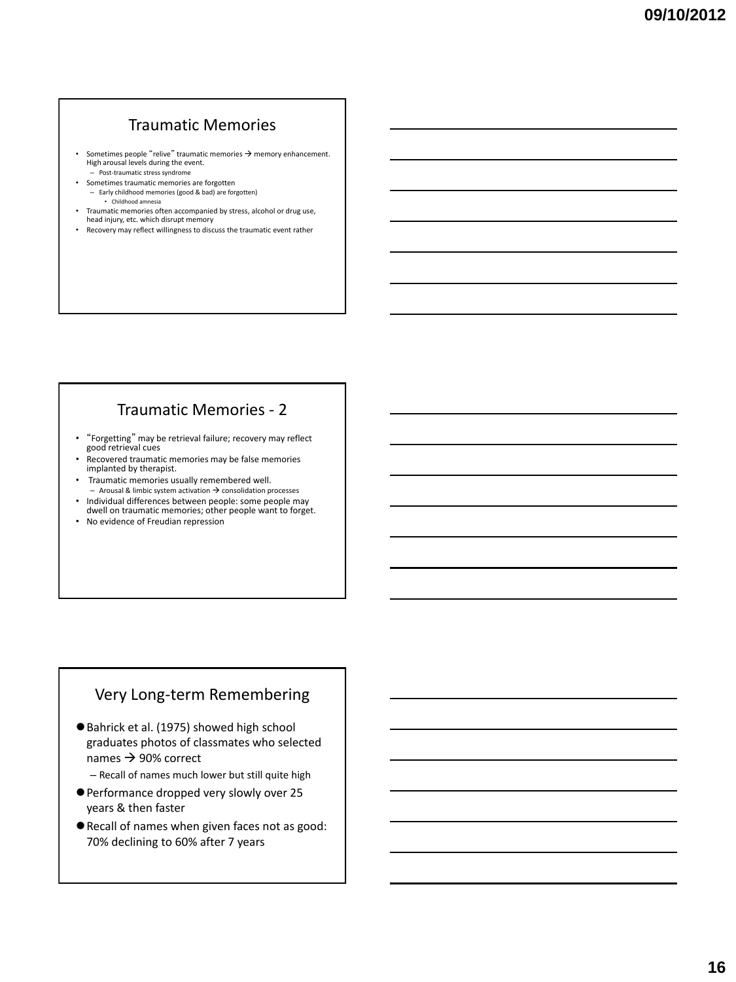#### Traumatic Memories

- Sometimes people "relive" traumatic memories  $\rightarrow$  memory enhancement. High arousal levels during the event. – Post-traumatic stress syndrome
- Sometimes traumatic memories are forgotten – Early childhood memories (good & bad) are forgotten) • Childhood amnesia
- Traumatic memories often accompanied by stress, alcohol or drug use, head injury, etc. which disrupt memory
- Recovery may reflect willingness to discuss the traumatic event rather

#### Traumatic Memories - 2

- "Forgetting" may be retrieval failure; recovery may reflect good retrieval cues
- Recovered traumatic memories may be false memories implanted by therapist.
- Traumatic memories usually remembered well.  $-$  Arousal & limbic system activation  $\rightarrow$  consolidation processes
- Individual differences between people: some people may dwell on traumatic memories; other people want to forget.
- No evidence of Freudian repression

#### Very Long-term Remembering

- Bahrick et al. (1975) showed high school graduates photos of classmates who selected names  $\rightarrow$  90% correct
	- Recall of names much lower but still quite high
- Performance dropped very slowly over 25 years & then faster
- Recall of names when given faces not as good: 70% declining to 60% after 7 years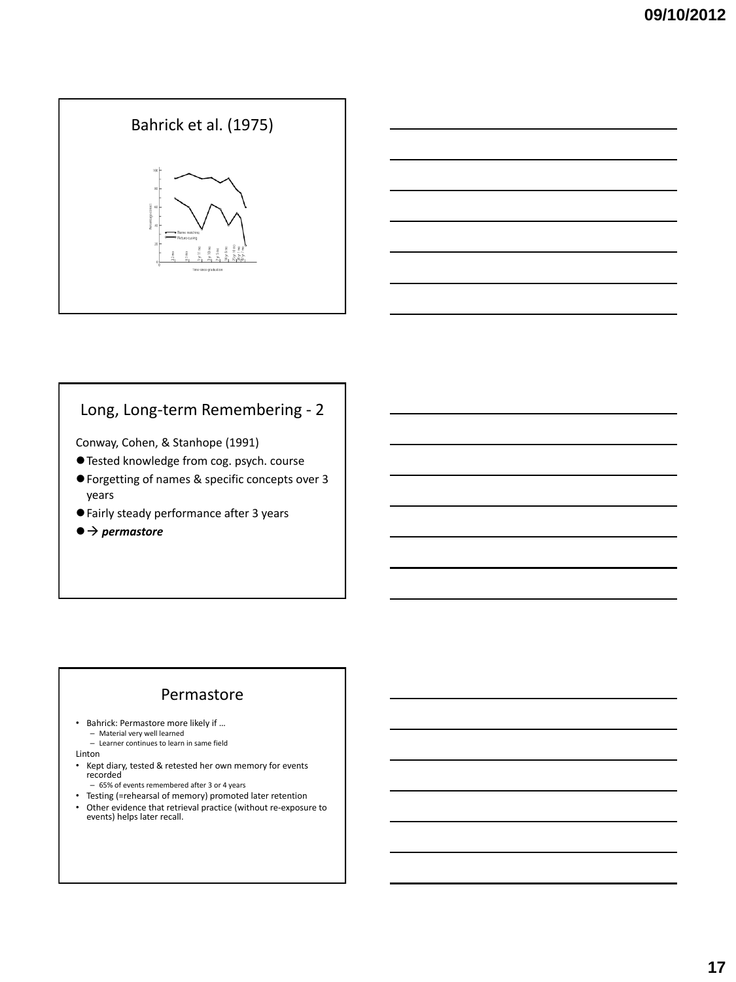



#### Long, Long-term Remembering - 2

Conway, Cohen, & Stanhope (1991)

- Tested knowledge from cog. psych. course
- Forgetting of names & specific concepts over 3 years
- Fairly steady performance after 3 years
- $\bullet$   $\rightarrow$  permastore

#### Permastore

• Bahrick: Permastore more likely if … – Material very well learned – Learner continues to learn in same field

- Linton
- Kept diary, tested & retested her own memory for events recorded
- 65% of events remembered after 3 or 4 years
- Testing (=rehearsal of memory) promoted later retention • Other evidence that retrieval practice (without re-exposure to events) helps later recall.